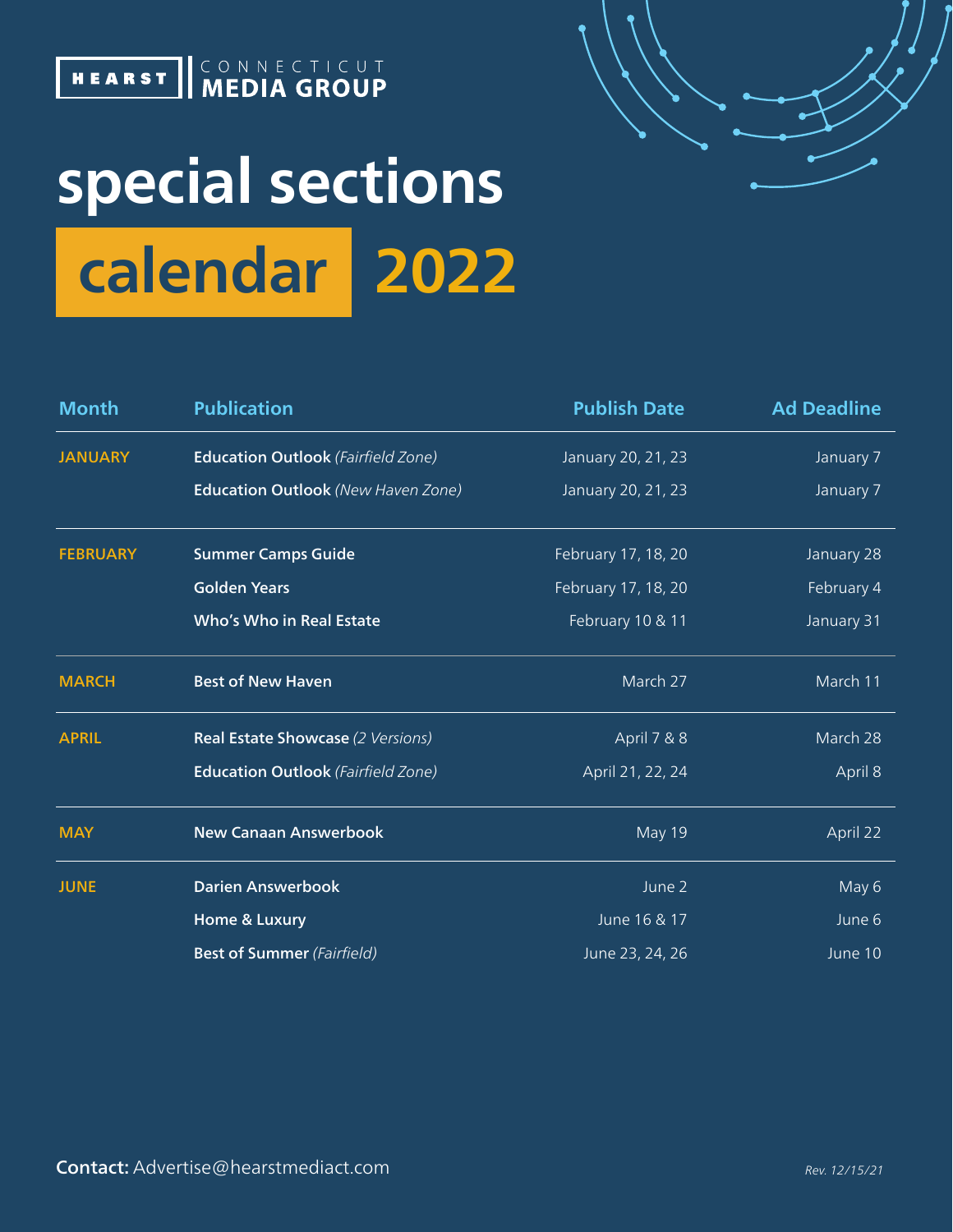



## **special sections calendar 2022**

| <b>Month</b>    | <b>Publication</b>                        | <b>Publish Date</b> | <b>Ad Deadline</b> |
|-----------------|-------------------------------------------|---------------------|--------------------|
| <b>JANUARY</b>  | <b>Education Outlook</b> (Fairfield Zone) | January 20, 21, 23  | January 7          |
|                 | Education Outlook (New Haven Zone)        | January 20, 21, 23  | January 7          |
| <b>FEBRUARY</b> | <b>Summer Camps Guide</b>                 | February 17, 18, 20 | January 28         |
|                 | <b>Golden Years</b>                       | February 17, 18, 20 | February 4         |
|                 | Who's Who in Real Estate                  | February 10 & 11    | January 31         |
| <b>MARCH</b>    | <b>Best of New Haven</b>                  | March 27            | March 11           |
| <b>APRIL</b>    | <b>Real Estate Showcase (2 Versions)</b>  | April 7 & 8         | March 28           |
|                 | <b>Education Outlook</b> (Fairfield Zone) | April 21, 22, 24    | April 8            |
| <b>MAY</b>      | <b>New Canaan Answerbook</b>              | <b>May 19</b>       | April 22           |
| <b>JUNE</b>     | <b>Darien Answerbook</b>                  | June 2              | May 6              |
|                 | <b>Home &amp; Luxury</b>                  | June 16 & 17        | June 6             |
|                 | <b>Best of Summer (Fairfield)</b>         | June 23, 24, 26     | June 10            |